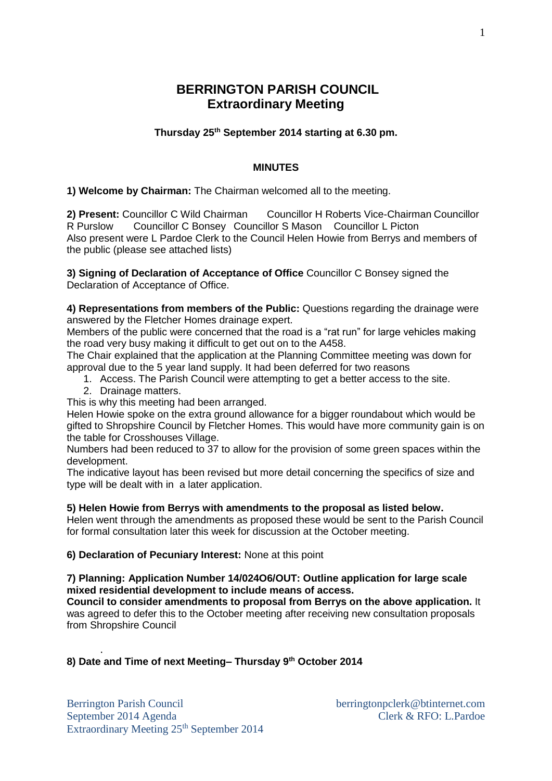# **BERRINGTON PARISH COUNCIL Extraordinary Meeting**

## **Thursday 25th September 2014 starting at 6.30 pm.**

## **MINUTES**

**1) Welcome by Chairman:** The Chairman welcomed all to the meeting.

2) Present: Councillor C Wild Chairman Councillor H Roberts Vice-Chairman Councillor R Purslow Councillor C Bonsey Councillor S Mason Councillor L Picton Also present were L Pardoe Clerk to the Council Helen Howie from Berrys and members of the public (please see attached lists)

**3) Signing of Declaration of Acceptance of Office** Councillor C Bonsey signed the Declaration of Acceptance of Office.

**4) Representations from members of the Public:** Questions regarding the drainage were answered by the Fletcher Homes drainage expert.

Members of the public were concerned that the road is a "rat run" for large vehicles making the road very busy making it difficult to get out on to the A458.

The Chair explained that the application at the Planning Committee meeting was down for approval due to the 5 year land supply. It had been deferred for two reasons

- 1. Access. The Parish Council were attempting to get a better access to the site.
- 2. Drainage matters.

This is why this meeting had been arranged.

Helen Howie spoke on the extra ground allowance for a bigger roundabout which would be gifted to Shropshire Council by Fletcher Homes. This would have more community gain is on the table for Crosshouses Village.

Numbers had been reduced to 37 to allow for the provision of some green spaces within the development.

The indicative layout has been revised but more detail concerning the specifics of size and type will be dealt with in a later application.

#### **5) Helen Howie from Berrys with amendments to the proposal as listed below.**

Helen went through the amendments as proposed these would be sent to the Parish Council for formal consultation later this week for discussion at the October meeting.

**6) Declaration of Pecuniary Interest:** None at this point

## **7) Planning: Application Number 14/024O6/OUT: Outline application for large scale mixed residential development to include means of access.**

**Council to consider amendments to proposal from Berrys on the above application.** It was agreed to defer this to the October meeting after receiving new consultation proposals from Shropshire Council

## . **8) Date and Time of next Meeting– Thursday 9 th October 2014**